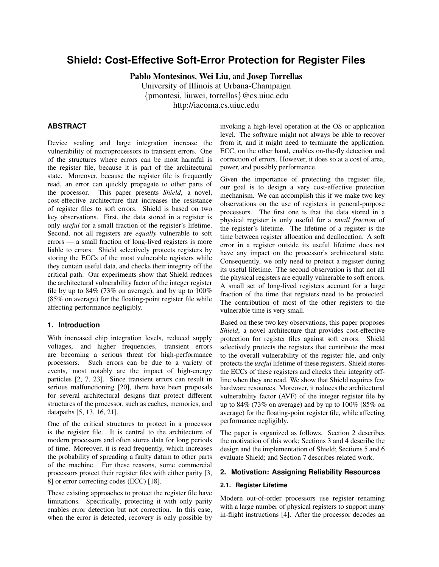# **Shield: Cost-Effective Soft-Error Protection for Register Files**

Pablo Montesinos, Wei Liu, and Josep Torrellas University of Illinois at Urbana-Champaign {pmontesi, liuwei, torrellas}@cs.uiuc.edu http://iacoma.cs.uiuc.edu

# **ABSTRACT**

Device scaling and large integration increase the vulnerability of microprocessors to transient errors. One of the structures where errors can be most harmful is the register file, because it is part of the architectural state. Moreover, because the register file is frequently read, an error can quickly propagate to other parts of the processor. This paper presents *Shield*, a novel, cost-effective architecture that increases the resistance of register files to soft errors. Shield is based on two key observations. First, the data stored in a register is only *useful* for a small fraction of the register's lifetime. Second, not all registers are *equally* vulnerable to soft errors — a small fraction of long-lived registers is more liable to errors. Shield selectively protects registers by storing the ECCs of the most vulnerable registers while they contain useful data, and checks their integrity off the critical path. Our experiments show that Shield reduces the architectural vulnerability factor of the integer register file by up to  $84\%$  (73% on average), and by up to  $100\%$ (85% on average) for the floating-point register file while affecting performance negligibly.

# **1. Introduction**

With increased chip integration levels, reduced supply voltages, and higher frequencies, transient errors are becoming a serious threat for high-performance processors. Such errors can be due to a variety of events, most notably are the impact of high-energy particles [2, 7, 23]. Since transient errors can result in serious malfunctioning [20], there have been proposals for several architectural designs that protect different structures of the processor, such as caches, memories, and datapaths [5, 13, 16, 21].

One of the critical structures to protect in a processor is the register file. It is central to the architecture of modern processors and often stores data for long periods of time. Moreover, it is read frequently, which increases the probability of spreading a faulty datum to other parts of the machine. For these reasons, some commercial processors protect their register files with either parity [3, 8] or error correcting codes (ECC) [18].

These existing approaches to protect the register file have limitations. Specifically, protecting it with only parity enables error detection but not correction. In this case, when the error is detected, recovery is only possible by

invoking a high-level operation at the OS or application level. The software might not always be able to recover from it, and it might need to terminate the application. ECC, on the other hand, enables on-the-fly detection and correction of errors. However, it does so at a cost of area, power, and possibly performance.

Given the importance of protecting the register file, our goal is to design a very cost-effective protection mechanism. We can accomplish this if we make two key observations on the use of registers in general-purpose processors. The first one is that the data stored in a physical register is only useful for a *small fraction* of the register's lifetime. The lifetime of a register is the time between register allocation and deallocation. A soft error in a register outside its useful lifetime does not have any impact on the processor's architectural state. Consequently, we only need to protect a register during its useful lifetime. The second observation is that not all the physical registers are equally vulnerable to soft errors. A small set of long-lived registers account for a large fraction of the time that registers need to be protected. The contribution of most of the other registers to the vulnerable time is very small.

Based on these two key observations, this paper proposes *Shield*, a novel architecture that provides cost-effective protection for register files against soft errors. Shield selectively protects the registers that contribute the most to the overall vulnerability of the register file, and only protects the *useful* lifetime of these registers. Shield stores the ECCs of these registers and checks their integrity offline when they are read. We show that Shield requires few hardware resources. Moreover, it reduces the architectural vulnerability factor (AVF) of the integer register file by up to  $84\%$  (73% on average) and by up to  $100\%$  (85% on average) for the floating-point register file, while affecting performance negligibly.

The paper is organized as follows. Section 2 describes the motivation of this work; Sections 3 and 4 describe the design and the implementation of Shield; Sections 5 and 6 evaluate Shield; and Section 7 describes related work.

# **2. Motivation: Assigning Reliability Resources**

# **2.1. Register Lifetime**

Modern out-of-order processors use register renaming with a large number of physical registers to support many in-flight instructions [4]. After the processor decodes an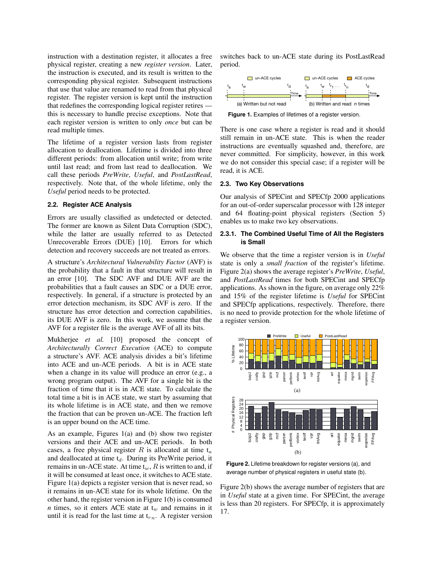instruction with a destination register, it allocates a free physical register, creating a new *register version*. Later, the instruction is executed, and its result is written to the corresponding physical register. Subsequent instructions that use that value are renamed to read from that physical register. The register version is kept until the instruction that redefines the corresponding logical register retires this is necessary to handle precise exceptions. Note that each register version is written to only *once* but can be read multiple times.

The lifetime of a register version lasts from register allocation to deallocation. Lifetime is divided into three different periods: from allocation until write; from write until last read; and from last read to deallocation. We call these periods *PreWrite*, *Useful*, and *PostLastRead*, respectively. Note that, of the whole lifetime, only the *Useful* period needs to be protected.

### **2.2. Register ACE Analysis**

Errors are usually classified as undetected or detected. The former are known as Silent Data Corruption (SDC), while the latter are usually referred to as Detected Unrecoverable Errors (DUE) [10]. Errors for which detection and recovery succeeds are not treated as errors.

A structure's *Architectural Vulnerability Factor* (AVF) is the probability that a fault in that structure will result in an error [10]. The SDC AVF and DUE AVF are the probabilities that a fault causes an SDC or a DUE error, respectively. In general, if a structure is protected by an error detection mechanism, its SDC AVF is zero. If the structure has error detection and correction capabilities, its DUE AVF is zero. In this work, we assume that the AVF for a register file is the average AVF of all its bits.

Mukherjee *et al.* [10] proposed the concept of *Architecturally Correct Execution* (ACE) to compute a structure's AVF. ACE analysis divides a bit's lifetime into ACE and un-ACE periods. A bit is in ACE state when a change in its value will produce an error (e.g., a wrong program output). The AVF for a single bit is the fraction of time that it is in ACE state. To calculate the total time a bit is in ACE state, we start by assuming that its whole lifetime is in ACE state, and then we remove the fraction that can be proven un-ACE. The fraction left is an upper bound on the ACE time.

As an example, Figures 1(a) and (b) show two register versions and their ACE and un-ACE periods. In both cases, a free physical register  $R$  is allocated at time  $t_a$ and deallocated at time  $t_d$ . During its PreWrite period, it remains in un-ACE state. At time  $t_w$ , R is written to and, if it will be consumed at least once, it switches to ACE state. Figure 1(a) depicts a register version that is never read, so it remains in un-ACE state for its whole lifetime. On the other hand, the register version in Figure 1(b) is consumed *n* times, so it enters ACE state at  $t_w$  and remains in it until it is read for the last time at  $t_{rn}$ . A register version

switches back to un-ACE state during its PostLastRead period.



**Figure 1.** Examples of lifetimes of a register version.

There is one case where a register is read and it should still remain in un-ACE state. This is when the reader instructions are eventually squashed and, therefore, are never committed. For simplicity, however, in this work we do not consider this special case; if a register will be read, it is ACE.

#### **2.3. Two Key Observations**

Our analysis of SPECint and SPECfp 2000 applications for an out-of-order superscalar processor with 128 integer and 64 floating-point physical registers (Section 5) enables us to make two key observations.

### **2.3.1. The Combined Useful Time of All the Registers is Small**

We observe that the time a register version is in *Useful* state is only a *small fraction* of the register's lifetime. Figure 2(a) shows the average register's *PreWrite*, *Useful*, and *PostLastRead* times for both SPECint and SPECfp applications. As shown in the figure, on average only 22% and 15% of the register lifetime is *Useful* for SPECint and SPECfp applications, respectively. Therefore, there is no need to provide protection for the whole lifetime of a register version.



**Figure 2.** Lifetime breakdown for register versions (a), and average number of physical registers in useful state (b).

Figure 2(b) shows the average number of registers that are in *Useful* state at a given time. For SPECint, the average is less than 20 registers. For SPECfp, it is approximately 17.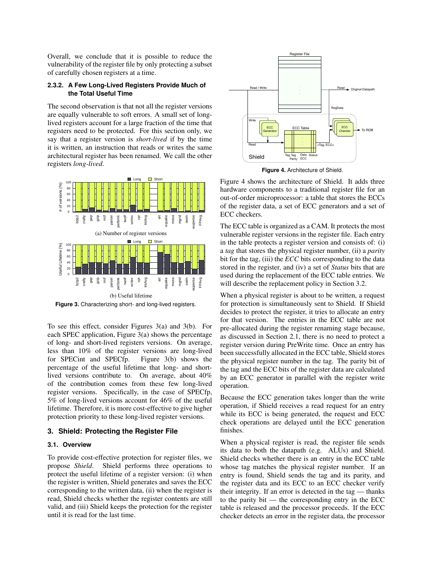Overall, we conclude that it is possible to reduce the vulnerability of the register file by only protecting a subset of carefully chosen registers at a time.

# **2.3.2. A Few Long-Lived Registers Provide Much of the Total Useful Time**

The second observation is that not all the register versions are equally vulnerable to soft errors. A small set of longlived registers account for a large fraction of the time that registers need to be protected. For this section only, we say that a register version is *short-lived* if by the time it is written, an instruction that reads or writes the same architectural register has been renamed. We call the other registers *long-lived*.



**Figure 3.** Characterizing short- and long-lived registers.

To see this effect, consider Figures 3(a) and 3(b). For each SPEC application, Figure 3(a) shows the percentage of long- and short-lived registers versions. On average, less than 10% of the register versions are long-lived for SPECint and SPECfp. Figure 3(b) shows the percentage of the useful lifetime that long- and shortlived versions contribute to. On average, about 40% of the contribution comes from these few long-lived register versions. Specifically, in the case of SPECfp, 5% of long-lived versions account for 46% of the useful lifetime. Therefore, it is more cost-effective to give higher protection priority to these long-lived register versions.

#### **3. Shield: Protecting the Register File**

### **3.1. Overview**

To provide cost-effective protection for register files, we propose *Shield*. Shield performs three operations to protect the useful lifetime of a register version: (i) when the register is written, Shield generates and saves the ECC corresponding to the written data, (ii) when the register is read, Shield checks whether the register contents are still valid, and (iii) Shield keeps the protection for the register until it is read for the last time.



**Figure 4.** Architecture of Shield.

Figure 4 shows the architecture of Shield. It adds three hardware components to a traditional register file for an out-of-order microprocessor: a table that stores the ECCs of the register data, a set of ECC generators and a set of ECC checkers.

The ECC table is organized as a CAM. It protects the most vulnerable register versions in the register file. Each entry in the table protects a register version and consists of: (i) a *tag* that stores the physical register number, (ii) a *parity* bit for the tag, (iii) the *ECC* bits corresponding to the data stored in the register, and (iv) a set of *Status* bits that are used during the replacement of the ECC table entries. We will describe the replacement policy in Section 3.2.

When a physical register is about to be written, a request for protection is simultaneously sent to Shield. If Shield decides to protect the register, it tries to allocate an entry for that version. The entries in the ECC table are not pre-allocated during the register renaming stage because, as discussed in Section 2.1, there is no need to protect a register version during PreWrite time. Once an entry has been successfully allocated in the ECC table, Shield stores the physical register number in the tag. The parity bit of the tag and the ECC bits of the register data are calculated by an ECC generator in parallel with the register write operation.

Because the ECC generation takes longer than the write operation, if Shield receives a read request for an entry while its ECC is being generated, the request and ECC check operations are delayed until the ECC generation finishes.

When a physical register is read, the register file sends its data to both the datapath (e.g. ALUs) and Shield. Shield checks whether there is an entry in the ECC table whose tag matches the physical register number. If an entry is found, Shield sends the tag and its parity, and the register data and its ECC to an ECC checker verify their integrity. If an error is detected in the tag — thanks to the parity bit — the corresponding entry in the ECC table is released and the processor proceeds. If the ECC checker detects an error in the register data, the processor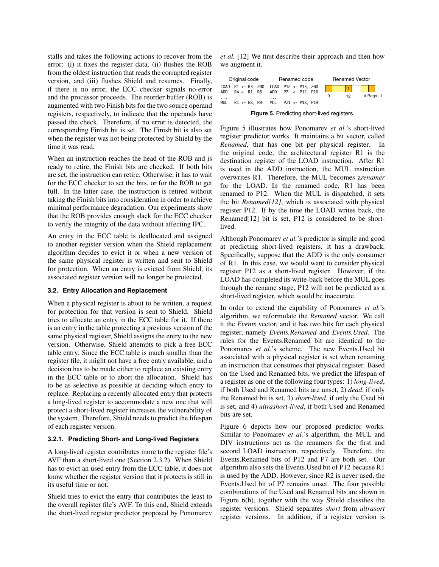stalls and takes the following actions to recover from the error: (i) it fixes the register data, (ii) flushes the ROB from the oldest instruction that reads the corrupted register version, and (iii) flushes Shield and resumes. Finally, if there is no error, the ECC checker signals no-error and the processor proceeds. The reorder buffer (ROB) is augmented with two Finish bits for the two source operand registers, respectively, to indicate that the operands have passed the check. Therefore, if no error is detected, the corresponding Finish bit is set. The Finish bit is also set when the register was not being protected by Shield by the time it was read.

When an instruction reaches the head of the ROB and is ready to retire, the Finish bits are checked. If both bits are set, the instruction can retire. Otherwise, it has to wait for the ECC checker to set the bits, or for the ROB to get full. In the latter case, the instruction is retired without taking the Finish bits into consideration in order to achieve minimal performance degradation. Our experiments show that the ROB provides enough slack for the ECC checker to verify the integrity of the data without affecting IPC.

An entry in the ECC table is deallocated and assigned to another register version when the Shield replacement algorithm decides to evict it or when a new version of the same physical register is written and sent to Shield for protection. When an entry is evicted from Shield, its associated register version will no longer be protected.

#### **3.2. Entry Allocation and Replacement**

When a physical register is about to be written, a request for protection for that version is sent to Shield. Shield tries to allocate an entry in the ECC table for it. If there is an entry in the table protecting a previous version of the same physical register, Shield assigns the entry to the new version. Otherwise, Shield attempts to pick a free ECC table entry. Since the ECC table is much smaller than the register file, it might not have a free entry available, and a decision has to be made either to replace an existing entry in the ECC table or to abort the allocation. Shield has to be as selective as possible at deciding which entry to replace. Replacing a recently allocated entry that protects a long-lived register to accommodate a new one that will protect a short-lived register increases the vulnerability of the system. Therefore, Shield needs to predict the lifespan of each register version.

#### **3.2.1. Predicting Short- and Long-lived Registers**

A long-lived register contributes more to the register file's AVF than a short-lived one (Section 2.3.2). When Shield has to evict an used entry from the ECC table, it does not know whether the register version that it protects is still in its useful time or not.

Shield tries to evict the entry that contributes the least to the overall register file's AVF. To this end, Shield extends the short-lived register predictor proposed by Ponomarev

*et al.* [12] We first describe their approach and then how we augment it.

| Original code   | Renamed code                                                                                                            | <b>Renamed Vector</b>                       |  |  |
|-----------------|-------------------------------------------------------------------------------------------------------------------------|---------------------------------------------|--|--|
| .<br><b>MUL</b> | LOAD R1 <- R3, 200 LOAD P12 <- P13, 200<br>ADD R4 <- R1, R6 ADD P7 <- P12, P16<br>.<br>R1 <- R8, R9 MUL P21 <- P18, P19 | $#$ Regs - 1<br>12 <sub>1</sub><br>$\Omega$ |  |  |

**Figure 5.** Predicting short-lived registers.

Figure 5 illustrates how Ponomarev *et al.*'s short-lived register predictor works. It maintains a bit vector, called *Renamed*, that has one bit per physical register. In the original code, the architectural register R1 is the destination register of the LOAD instruction. After R1 is used in the ADD instruction, the MUL instruction overwrites R1. Therefore, the MUL becomes a*renamer* for the LOAD. In the renamed code, R1 has been renamed to P12. When the MUL is dispatched, it sets the bit *Renamed[12]*, which is associated with physical register P12. If by the time the LOAD writes back, the Renamed[12] bit is set, P12 is considered to be shortlived.

Although Ponomarev *et al.*'s predictor is simple and good at predicting short-lived registers, it has a drawback. Specifically, suppose that the ADD is the only consumer of R1. In this case, we would want to consider physical register P12 as a short-lived register. However, if the LOAD has completed its write-back before the MUL goes through the rename stage, P12 will not be predicted as a short-lived register, which would be inaccurate.

In order to extend the capability of Ponomarev *et al.*'s algorithm, we reformulate the *Renamed* vector. We call it the *Events* vector, and it has two bits for each physical register, namely *Events.Renamed* and *Events.Used*. The rules for the Events.Renamed bit are identical to the Ponomarev *et al.*'s scheme. The new Events.Used bit associated with a physical register is set when renaming an instruction that consumes that physical register. Based on the Used and Renamed bits, we predict the lifespan of a register as one of the following four types: 1) *long-lived*, if both Used and Renamed bits are unset, 2) *dead*, if only the Renamed bit is set, 3) *short-lived*, if only the Used bit is set, and 4) *ultrashort-lived*, if both Used and Renamed bits are set.

Figure 6 depicts how our proposed predictor works. Similar to Ponomarev *et al.*'s algorithm, the MUL and DIV instructions act as the renamers for the first and second LOAD instruction, respectively. Therefore, the Events.Renamed bits of P12 and P7 are both set. Our algorithm also sets the Events.Used bit of P12 because R1 is used by the ADD. However, since R2 is never used, the Events.Used bit of P7 remains unset. The four possible combinations of the Used and Renamed bits are shown in Figure 6(b), together with the way Shield classifies the register versions. Shield separates *short* from *ultrasort* register versions. In addition, if a register version is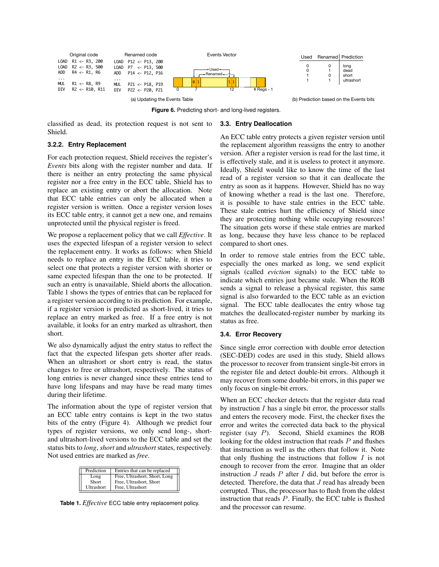

**Figure 6.** Predicting short- and long-lived registers.

classified as dead, its protection request is not sent to Shield.

# **3.2.2. Entry Replacement**

For each protection request, Shield receives the register's *Events* bits along with the register number and data. If there is neither an entry protecting the same physical register nor a free entry in the ECC table, Shield has to replace an existing entry or abort the allocation. Note that ECC table entries can only be allocated when a register version is written. Once a register version loses its ECC table entry, it cannot get a new one, and remains unprotected until the physical register is freed.

We propose a replacement policy that we call *Effective*. It uses the expected lifespan of a register version to select the replacement entry. It works as follows: when Shield needs to replace an entry in the ECC table, it tries to select one that protects a register version with shorter or same expected lifespan than the one to be protected. If such an entry is unavailable, Shield aborts the allocation. Table 1 shows the types of entries that can be replaced for a register version according to its prediction. For example, if a register version is predicted as short-lived, it tries to replace an entry marked as free. If a free entry is not available, it looks for an entry marked as ultrashort, then short.

We also dynamically adjust the entry status to reflect the fact that the expected lifespan gets shorter after reads. When an ultrashort or short entry is read, the status changes to free or ultrashort, respectively. The status of long entries is never changed since these entries tend to have long lifespans and may have be read many times during their lifetime.

The information about the type of register version that an ECC table entry contains is kept in the two status bits of the entry (Figure 4). Although we predict four types of register versions, we only send long-, shortand ultrashort-lived versions to the ECC table and set the status bits to *long*, *short* and *ultrashort* states, respectively. Not used entries are marked as *free*.

| Prediction    | Entries that can be replaced                             |
|---------------|----------------------------------------------------------|
| Long<br>Short | Free, Ultrashort, Short, Long<br>Free, Ultrashort, Short |
| Ultrashort    | Free, Ultrashort                                         |

**Table 1.** *Effective* ECC table entry replacement policy.

# **3.3. Entry Deallocation**

An ECC table entry protects a given register version until the replacement algorithm reassigns the entry to another version. After a register version is read for the last time, it is effectively stale, and it is useless to protect it anymore. Ideally, Shield would like to know the time of the last read of a register version so that it can deallocate the entry as soon as it happens. However, Shield has no way of knowing whether a read is the last one. Therefore, it is possible to have stale entries in the ECC table. These stale entries hurt the efficiency of Shield since they are protecting nothing while occupying resources! The situation gets worse if these stale entries are marked as long, because they have less chance to be replaced compared to short ones.

In order to remove stale entries from the ECC table, especially the ones marked as long, we send explicit signals (called *eviction* signals) to the ECC table to indicate which entries just became stale. When the ROB sends a signal to release a physical register, this same signal is also forwarded to the ECC table as an eviction signal. The ECC table deallocates the entry whose tag matches the deallocated-register number by marking its status as free.

# **3.4. Error Recovery**

Since single error correction with double error detection (SEC-DED) codes are used in this study, Shield allows the processor to recover from transient single-bit errors in the register file and detect double-bit errors. Although it may recover from some double-bit errors, in this paper we only focus on single-bit errors.

When an ECC checker detects that the register data read by instruction  $I$  has a single bit error, the processor stalls and enters the recovery mode. First, the checker fixes the error and writes the corrected data back to the physical register (say P). Second, Shield examines the ROB looking for the oldest instruction that reads P and flushes that instruction as well as the others that follow it. Note that only flushing the instructions that follow  $I$  is not enough to recover from the error. Imagine that an older instruction  $J$  reads  $P$  after  $I$  did, but before the error is detected. Therefore, the data that  $J$  read has already been corrupted. Thus, the processor has to flush from the oldest instruction that reads P. Finally, the ECC table is flushed and the processor can resume.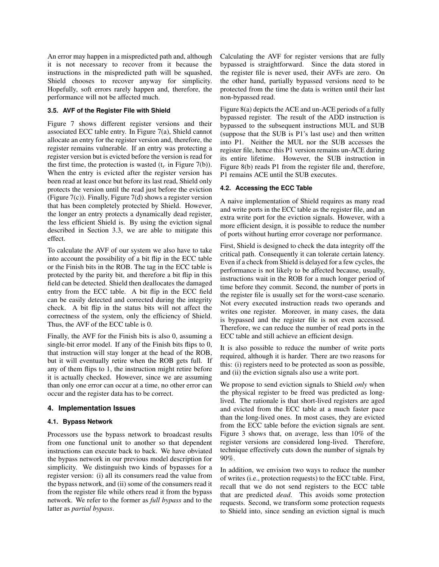An error may happen in a mispredicted path and, although it is not necessary to recover from it because the instructions in the mispredicted path will be squashed, Shield chooses to recover anyway for simplicity. Hopefully, soft errors rarely happen and, therefore, the performance will not be affected much.

# **3.5. AVF of the Register File with Shield**

Figure 7 shows different register versions and their associated ECC table entry. In Figure 7(a), Shield cannot allocate an entry for the register version and, therefore, the register remains vulnerable. If an entry was protecting a register version but is evicted before the version is read for the first time, the protection is wasted  $(t_r$  in Figure 7(b)). When the entry is evicted after the register version has been read at least once but before its last read, Shield only protects the version until the read just before the eviction (Figure 7(c)). Finally, Figure 7(d) shows a register version that has been completely protected by Shield. However, the longer an entry protects a dynamically dead register, the less efficient Shield is. By using the eviction signal described in Section 3.3, we are able to mitigate this effect.

To calculate the AVF of our system we also have to take into account the possibility of a bit flip in the ECC table or the Finish bits in the ROB. The tag in the ECC table is protected by the parity bit, and therefore a bit flip in this field can be detected. Shield then deallocates the damaged entry from the ECC table. A bit flip in the ECC field can be easily detected and corrected during the integrity check. A bit flip in the status bits will not affect the correctness of the system, only the efficiency of Shield. Thus, the AVF of the ECC table is 0.

Finally, the AVF for the Finish bits is also 0, assuming a single-bit error model. If any of the Finish bits flips to 0, that instruction will stay longer at the head of the ROB, but it will eventually retire when the ROB gets full. If any of them flips to 1, the instruction might retire before it is actually checked. However, since we are assuming than only one error can occur at a time, no other error can occur and the register data has to be correct.

#### **4. Implementation Issues**

# **4.1. Bypass Network**

Processors use the bypass network to broadcast results from one functional unit to another so that dependent instructions can execute back to back. We have obviated the bypass network in our previous model description for simplicity. We distinguish two kinds of bypasses for a register version: (i) all its consumers read the value from the bypass network, and (ii) some of the consumers read it from the register file while others read it from the bypass network. We refer to the former as *full bypass* and to the latter as *partial bypass*.

Calculating the AVF for register versions that are fully bypassed is straightforward. Since the data stored in the register file is never used, their AVFs are zero. On the other hand, partially bypassed versions need to be protected from the time the data is written until their last non-bypassed read.

Figure 8(a) depicts the ACE and un-ACE periods of a fully bypassed register. The result of the ADD instruction is bypassed to the subsequent instructions MUL and SUB (suppose that the SUB is P1's last use) and then written into P1. Neither the MUL nor the SUB accesses the register file, hence this P1 version remains un-ACE during its entire lifetime. However, the SUB instruction in Figure 8(b) reads P1 from the register file and, therefore, P1 remains ACE until the SUB executes.

#### **4.2. Accessing the ECC Table**

A naive implementation of Shield requires as many read and write ports in the ECC table as the register file, and an extra write port for the eviction signals. However, with a more efficient design, it is possible to reduce the number of ports without hurting error coverage nor performance.

First, Shield is designed to check the data integrity off the critical path. Consequently it can tolerate certain latency. Even if a check from Shield is delayed for a few cycles, the performance is not likely to be affected because, usually, instructions wait in the ROB for a much longer period of time before they commit. Second, the number of ports in the register file is usually set for the worst-case scenario. Not every executed instruction reads two operands and writes one register. Moreover, in many cases, the data is bypassed and the register file is not even accessed. Therefore, we can reduce the number of read ports in the ECC table and still achieve an efficient design.

It is also possible to reduce the number of write ports required, although it is harder. There are two reasons for this: (i) registers need to be protected as soon as possible, and (ii) the eviction signals also use a write port.

We propose to send eviction signals to Shield *only* when the physical register to be freed was predicted as longlived. The rationale is that short-lived registers are aged and evicted from the ECC table at a much faster pace than the long-lived ones. In most cases, they are evicted from the ECC table before the eviction signals are sent. Figure 3 shows that, on average, less than 10% of the register versions are considered long-lived. Therefore, technique effectively cuts down the number of signals by 90%.

In addition, we envision two ways to reduce the number of writes (i.e., protection requests) to the ECC table. First, recall that we do not send registers to the ECC table that are predicted *dead*. This avoids some protection requests. Second, we transform some protection requests to Shield into, since sending an eviction signal is much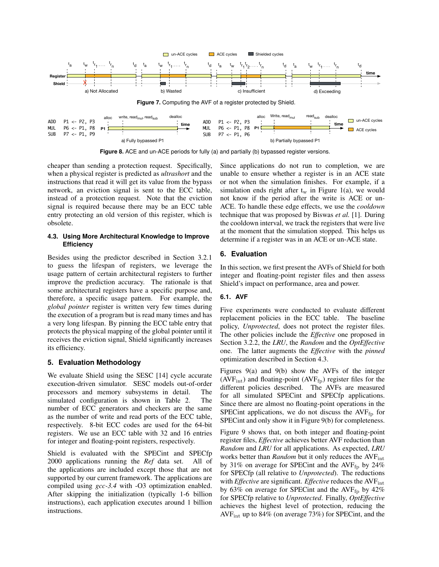

**Figure 8.** ACE and un-ACE periods for fully (a) and partially (b) bypassed register versions.

cheaper than sending a protection request. Specifically, when a physical register is predicted as *ultrashort* and the instructions that read it will get its value from the bypass network, an eviction signal is sent to the ECC table, instead of a protection request. Note that the eviction signal is required because there may be an ECC table entry protecting an old version of this register, which is obsolete.

# **4.3. Using More Architectural Knowledge to Improve Efficiency**

Besides using the predictor described in Section 3.2.1 to guess the lifespan of registers, we leverage the usage pattern of certain architectural registers to further improve the prediction accuracy. The rationale is that some architectural registers have a specific purpose and, therefore, a specific usage pattern. For example, the *global pointer* register is written very few times during the execution of a program but is read many times and has a very long lifespan. By pinning the ECC table entry that protects the physical mapping of the global pointer until it receives the eviction signal, Shield significantly increases its efficiency.

# **5. Evaluation Methodology**

We evaluate Shield using the SESC [14] cycle accurate execution-driven simulator. SESC models out-of-order processors and memory subsystems in detail. The simulated configuration is shown in Table 2. The number of ECC generators and checkers are the same as the number of write and read ports of the ECC table, respectively. 8-bit ECC codes are used for the 64-bit registers. We use an ECC table with 32 and 16 entries for integer and floating-point registers, respectively.

Shield is evaluated with the SPECint and SPECfp 2000 applications running the *Ref* data set. All of the applications are included except those that are not supported by our current framework. The applications are compiled using *gcc-3.4* with -O3 optimization enabled. After skipping the initialization (typically 1-6 billion instructions), each application executes around 1 billion instructions.

Since applications do not run to completion, we are unable to ensure whether a register is in an ACE state or not when the simulation finishes. For example, if a simulation ends right after  $t_w$  in Figure 1(a), we would not know if the period after the write is ACE or un-ACE. To handle these edge effects, we use the *cooldown* technique that was proposed by Biswas *et al.* [1]. During the cooldown interval, we track the registers that were live at the moment that the simulation stopped. This helps us determine if a register was in an ACE or un-ACE state.

# **6. Evaluation**

In this section, we first present the AVFs of Shield for both integer and floating-point register files and then assess Shield's impact on performance, area and power.

# **6.1. AVF**

Five experiments were conducted to evaluate different replacement policies in the ECC table. The baseline policy, *Unprotected*, does not protect the register files. The other policies include the *Effective* one proposed in Section 3.2.2, the *LRU*, the *Random* and the *OptEffective* one. The latter augments the *Effective* with the *pinned* optimization described in Section 4.3.

Figures 9(a) and 9(b) show the AVFs of the integer  $(AVF_{int})$  and floating-point  $(AVF_{fp})$  register files for the different policies described. The AVFs are measured for all simulated SPECint and SPECfp applications. Since there are almost no floating-point operations in the SPECint applications, we do not discuss the  $AVF_{fp}$  for SPECint and only show it in Figure 9(b) for completeness.

Figure 9 shows that, on both integer and floating-point register files, *Effective* achieves better AVF reduction than *Random* and *LRU* for all applications. As expected, *LRU* works better than *Random* but it only reduces the AVF<sub>int</sub> by 31% on average for SPECint and the AVF $_{\rm fp}$  by 24% for SPECfp (all relative to *Unprotected*). The reductions with *Effective* are significant. *Effective* reduces the AVF<sub>int</sub> by 63% on average for SPECint and the AVF $_{\rm fp}$  by 42% for SPECfp relative to *Unprotected*. Finally, *OptEffective* achieves the highest level of protection, reducing the  $AVF_{int}$  up to 84% (on average 73%) for SPECint, and the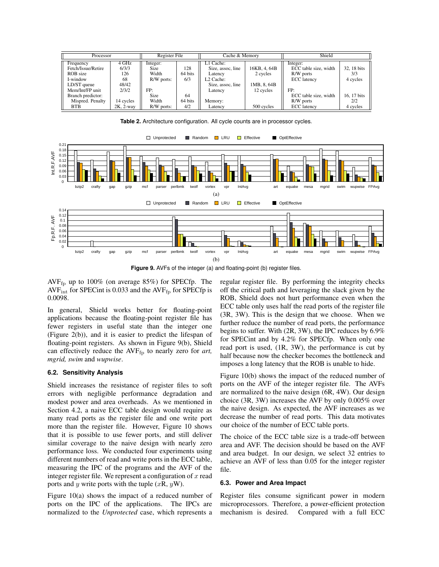| Processor          |                 | Register File |         | Cache & Memory        |              | Shield                |             |
|--------------------|-----------------|---------------|---------|-----------------------|--------------|-----------------------|-------------|
| Frequency          | 4 GHz           | Integer:      |         | L1 Cache:             |              | Integer:              |             |
| Fetch/Issue/Retire | 6/3/3           | Size          | 128     | Size, assoc, line     | 16KB, 4, 64B | ECC table size, width | 32, 18 bits |
| ROB size           | 126             | Width         | 64 bits | Latency               | 2 cycles     | R/W ports             | 3/3         |
| I-window           | 68              | R/W ports:    | 6/3     | L <sub>2</sub> Cache: |              | <b>ECC</b> latency    | 4 cycles    |
| LD/ST queue        | 48/42           |               |         | Size, assoc, line     | 1MB, 8, 64B  |                       |             |
| Mem/Int/FP unit    | 2/3/2           | FP:           |         | Latency               | 12 cycles    | FP:                   |             |
| Branch predictor:  |                 | Size          | 64      |                       |              | ECC table size, width | 16.17 bits  |
| Mispred. Penalty   | 14 cycles       | Width         | 64 bits | Memory:               |              | R/W ports             | 2/2         |
| <b>BTB</b>         | $2K$ , $2$ -way | R/W ports:    | 4/2     | Latency               | 500 cycles   | <b>ECC</b> latency    | 4 cycles    |



**Table 2.** Architecture configuration. All cycle counts are in processor cycles.

**Figure 9.** AVFs of the integer (a) and floating-point (b) register files.

AVF<sub>fp</sub> up to 100% (on average 85%) for SPECfp. The  $AVF_{int}$  for SPECint is 0.033 and the  $AVF_{fp}$  for SPECfp is 0.0098.

In general, Shield works better for floating-point applications because the floating-point register file has fewer registers in useful state than the integer one (Figure 2(b)), and it is easier to predict the lifespan of floating-point registers. As shown in Figure 9(b), Shield can effectively reduce the AVF<sub>fp</sub> to nearly zero for *art*, *mgrid, swim* and *wupwise*.

### **6.2. Sensitivity Analysis**

Shield increases the resistance of register files to soft errors with negligible performance degradation and modest power and area overheads. As we mentioned in Section 4.2, a naive ECC table design would require as many read ports as the register file and one write port more than the register file. However, Figure 10 shows that it is possible to use fewer ports, and still deliver similar coverage to the naive design with nearly zero performance loss. We conducted four experiments using different numbers of read and write ports in the ECC table, measuring the IPC of the programs and the AVF of the integer register file. We represent a configuration of  $x$  read ports and y write ports with the tuple  $(xR, yW)$ .

Figure 10(a) shows the impact of a reduced number of ports on the IPC of the applications. The IPCs are normalized to the *Unprotected* case, which represents a

regular register file. By performing the integrity checks off the critical path and leveraging the slack given by the ROB, Shield does not hurt performance even when the ECC table only uses half the read ports of the register file (3R, 3W). This is the design that we choose. When we further reduce the number of read ports, the performance begins to suffer. With (2R, 3W), the IPC reduces by 6.9% for SPECint and by 4.2% for SPECfp. When only one read port is used, (1R, 3W), the performance is cut by half because now the checker becomes the bottleneck and imposes a long latency that the ROB is unable to hide.

Figure 10(b) shows the impact of the reduced number of ports on the AVF of the integer register file. The AVFs are normalized to the naive design (6R, 4W). Our design choice (3R, 3W) increases the AVF by only 0.005% over the naive design. As expected, the AVF increases as we decrease the number of read ports. This data motivates our choice of the number of ECC table ports.

The choice of the ECC table size is a trade-off between area and AVF. The decision should be based on the AVF and area budget. In our design, we select 32 entries to achieve an AVF of less than 0.05 for the integer register file.

# **6.3. Power and Area Impact**

Register files consume significant power in modern microprocessors. Therefore, a power-efficient protection mechanism is desired. Compared with a full ECC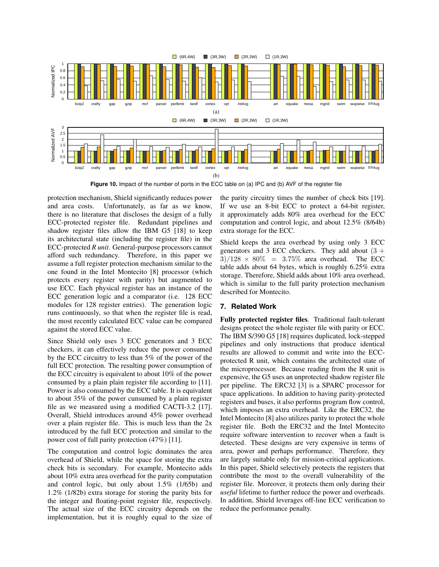

**Figure 10.** Impact of the number of ports in the ECC table on (a) IPC and (b) AVF of the register file

protection mechanism, Shield significantly reduces power and area costs. Unfortunately, as far as we know, there is no literature that discloses the design of a fully ECC-protected register file. Redundant pipelines and shadow register files allow the IBM G5 [18] to keep its architectural state (including the register file) in the ECC-protected *R unit*. General-purpose processors cannot afford such redundancy. Therefore, in this paper we assume a full register protection mechanism similar to the one found in the Intel Montecito [8] processor (which protects every register with parity) but augmented to use ECC. Each physical register has an instance of the ECC generation logic and a comparator (i.e. 128 ECC modules for 128 register entries). The generation logic runs continuously, so that when the register file is read, the most recently calculated ECC value can be compared against the stored ECC value.

Since Shield only uses 3 ECC generators and 3 ECC checkers, it can effectively reduce the power consumed by the ECC circuitry to less than 5% of the power of the full ECC protection. The resulting power consumption of the ECC circuitry is equivalent to about 10% of the power consumed by a plain plain register file according to [11]. Power is also consumed by the ECC table. It is equivalent to about 35% of the power cunsumed by a plain register file as we measured using a modified CACTI-3.2 [17]. Overall, Shield introduces around 45% power overhead over a plain register file. This is much less than the 2x introduced by the full ECC protection and similar to the power cost of full parity protection (47%) [11].

The computation and control logic dominates the area overhead of Shield, while the space for storing the extra check bits is secondary. For example, Montecito adds about 10% extra area overhead for the parity computation and control logic, but only about 1.5% (1/65b) and 1.2% (1/82b) extra storage for storing the parity bits for the integer and floating-point register file, respectively. The actual size of the ECC circuitry depends on the implementation, but it is roughly equal to the size of

the parity circuitry times the number of check bits [19]. If we use an 8-bit ECC to protect a 64-bit register, it approximately adds 80% area overhead for the ECC computation and control logic, and about 12.5% (8/64b) extra storage for the ECC.

Shield keeps the area overhead by using only 3 ECC generators and 3 ECC checkers. They add about  $(3 +$  $3)/128 \times 80\% = 3.75\%$  area overhead. The ECC table adds about 64 bytes, which is roughly 6.25% extra storage. Therefore, Shield adds about 10% area overhead, which is similar to the full parity protection mechanism described for Montecito.

# **7. Related Work**

Fully protected register files. Traditional fault-tolerant designs protect the whole register file with parity or ECC. The IBM S/390 G5 [18] requires duplicated, lock-stepped pipelines and only instructions that produce identical results are allowed to commit and write into the ECCprotected R unit, which contains the architected state of the microprocessor. Because reading from the R unit is expensive, the G5 uses an unprotected shadow register file per pipeline. The ERC32 [3] is a SPARC processor for space applications. In addition to having parity-protected registers and buses, it also performs program flow control, which imposes an extra overhead. Like the ERC32, the Intel Montecito [8] also utilizes parity to protect the whole register file. Both the ERC32 and the Intel Montecito require software intervention to recover when a fault is detected. These designs are very expensive in terms of area, power and perhaps performance. Therefore, they are largely suitable only for mission-critical applications. In this paper, Shield selectively protects the registers that contribute the most to the overall vulnerability of the register file. Moreover, it protects them only during their *useful* lifetime to further reduce the power and overheads. In addition, Shield leverages off-line ECC verification to reduce the performance penalty.